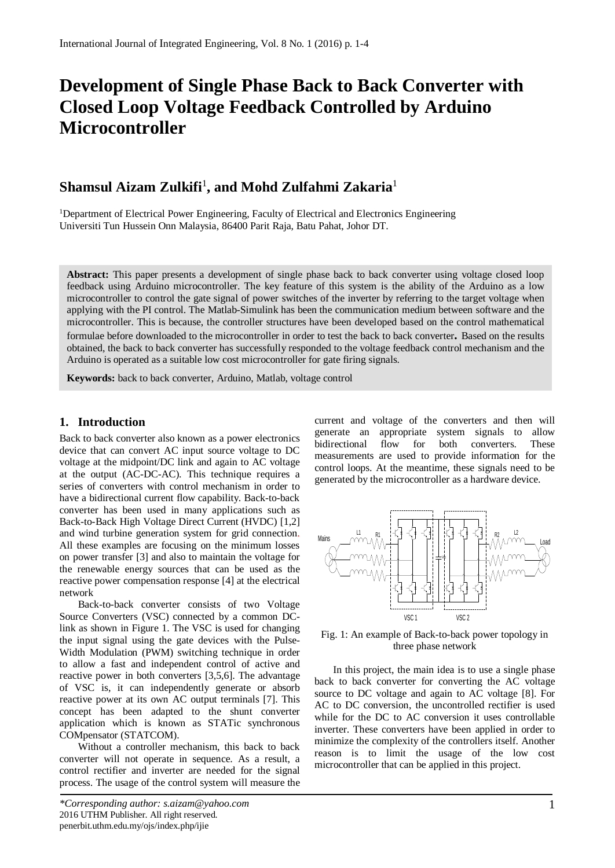# **Development of Single Phase Back to Back Converter with Closed Loop Voltage Feedback Controlled by Arduino Microcontroller**

## **Shamsul Aizam Zulkifi**<sup>1</sup> **, and Mohd Zulfahmi Zakaria**<sup>1</sup>

<sup>1</sup>Department of Electrical Power Engineering, Faculty of Electrical and Electronics Engineering Universiti Tun Hussein Onn Malaysia, 86400 Parit Raja, Batu Pahat, Johor DT.

**Abstract:** This paper presents a development of single phase back to back converter using voltage closed loop feedback using Arduino microcontroller. The key feature of this system is the ability of the Arduino as a low microcontroller to control the gate signal of power switches of the inverter by referring to the target voltage when applying with the PI control. The Matlab-Simulink has been the communication medium between software and the microcontroller. This is because, the controller structures have been developed based on the control mathematical formulae before downloaded to the microcontroller in order to test the back to back converter**.** Based on the results obtained, the back to back converter has successfully responded to the voltage feedback control mechanism and the Arduino is operated as a suitable low cost microcontroller for gate firing signals.

**Keywords:** back to back converter, Arduino, Matlab, voltage control

### **1. Introduction**

Back to back converter also known as a power electronics device that can convert AC input source voltage to DC voltage at the midpoint/DC link and again to AC voltage at the output (AC-DC-AC). This technique requires a series of converters with control mechanism in order to have a bidirectional current flow capability. Back-to-back converter has been used in many applications such as Back-to-Back High Voltage Direct Current (HVDC) [1,2] and wind turbine generation system for grid connection. All these examples are focusing on the minimum losses on power transfer [3] and also to maintain the voltage for the renewable energy sources that can be used as the reactive power compensation response [4] at the electrical network

Back-to-back converter consists of two Voltage Source Converters (VSC) connected by a common DClink as shown in Figure 1. The VSC is used for changing the input signal using the gate devices with the Pulse-Width Modulation (PWM) switching technique in order to allow a fast and independent control of active and reactive power in both converters [3,5,6]. The advantage of VSC is, it can independently generate or absorb reactive power at its own AC output terminals [7]. This concept has been adapted to the shunt converter application which is known as STATic synchronous COMpensator (STATCOM).

Without a controller mechanism, this back to back converter will not operate in sequence. As a result, a control rectifier and inverter are needed for the signal process. The usage of the control system will measure the

current and voltage of the converters and then will generate an appropriate system signals to allow bidirectional flow for both converters. These measurements are used to provide information for the control loops. At the meantime, these signals need to be generated by the microcontroller as a hardware device.



Fig. 1: An example of Back-to-back power topology in three phase network

In this project, the main idea is to use a single phase back to back converter for converting the AC voltage source to DC voltage and again to AC voltage [8]. For AC to DC conversion, the uncontrolled rectifier is used while for the DC to AC conversion it uses controllable inverter. These converters have been applied in order to minimize the complexity of the controllers itself. Another reason is to limit the usage of the low cost microcontroller that can be applied in this project.

*<sup>\*</sup>Corresponding author: s.aizam@yahoo.com* 2016 UTHM Publisher. All right reserved. penerbit.uthm.edu.my/ojs/index.php/ijie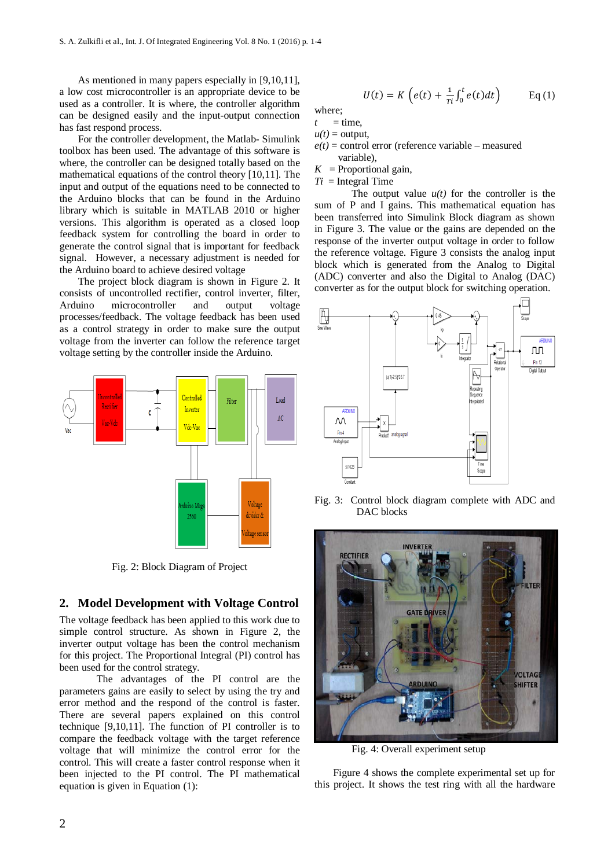As mentioned in many papers especially in [9,10,11], a low cost microcontroller is an appropriate device to be used as a controller. It is where, the controller algorithm can be designed easily and the input-output connection has fast respond process.

For the controller development, the Matlab- Simulink toolbox has been used. The advantage of this software is where, the controller can be designed totally based on the mathematical equations of the control theory [10,11]. The input and output of the equations need to be connected to the Arduino blocks that can be found in the Arduino library which is suitable in MATLAB 2010 or higher versions. This algorithm is operated as a closed loop feedback system for controlling the board in order to generate the control signal that is important for feedback signal. However, a necessary adjustment is needed for the Arduino board to achieve desired voltage

The project block diagram is shown in Figure 2. It consists of uncontrolled rectifier, control inverter, filter, Arduino microcontroller and output voltage processes/feedback. The voltage feedback has been used as a control strategy in order to make sure the output voltage from the inverter can follow the reference target voltage setting by the controller inside the Arduino.



Fig. 2: Block Diagram of Project

#### **2. Model Development with Voltage Control**

The voltage feedback has been applied to this work due to simple control structure. As shown in Figure 2, the inverter output voltage has been the control mechanism for this project. The Proportional Integral (PI) control has been used for the control strategy.

The advantages of the PI control are the parameters gains are easily to select by using the try and error method and the respond of the control is faster. There are several papers explained on this control technique [9,10,11]. The function of PI controller is to compare the feedback voltage with the target reference voltage that will minimize the control error for the control. This will create a faster control response when it been injected to the PI control. The PI mathematical equation is given in Equation (1):

$$
U(t) = K\left(e(t) + \frac{1}{\tau_i} \int_0^t e(t) dt\right) \qquad \text{Eq (1)}
$$

where;  $t =$  time.

 $u(t) =$  output,

 $e(t)$  = control error (reference variable – measured variable),

 $K$  = Proportional gain,

 $Ti =$  Integral Time

The output value  $u(t)$  for the controller is the sum of P and I gains. This mathematical equation has been transferred into Simulink Block diagram as shown in Figure 3. The value or the gains are depended on the response of the inverter output voltage in order to follow the reference voltage. Figure 3 consists the analog input block which is generated from the Analog to Digital (ADC) converter and also the Digital to Analog (DAC) converter as for the output block for switching operation.



Fig. 3: Control block diagram complete with ADC and DAC blocks



Fig. 4: Overall experiment setup

Figure 4 shows the complete experimental set up for this project. It shows the test ring with all the hardware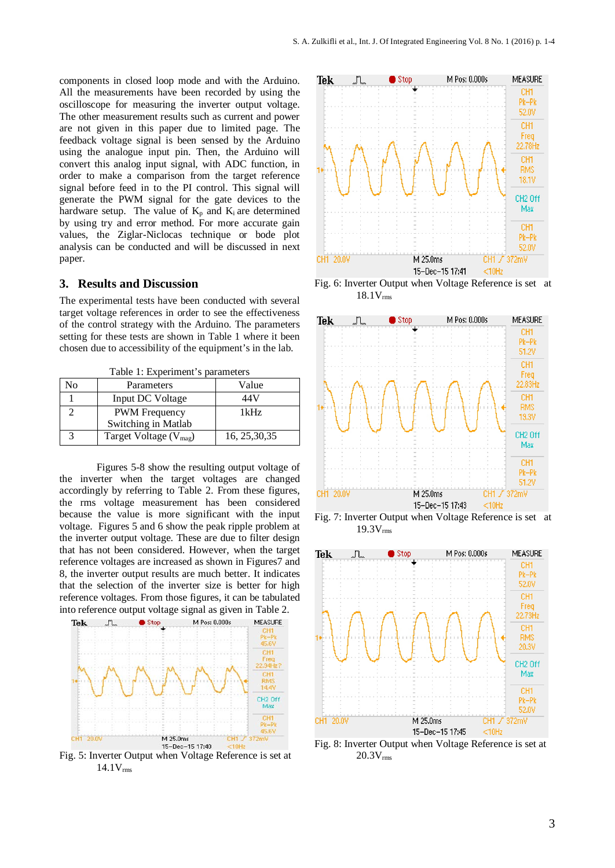components in closed loop mode and with the Arduino. All the measurements have been recorded by using the oscilloscope for measuring the inverter output voltage. The other measurement results such as current and power are not given in this paper due to limited page. The feedback voltage signal is been sensed by the Arduino using the analogue input pin. Then, the Arduino will convert this analog input signal, with ADC function, in order to make a comparison from the target reference signal before feed in to the PI control. This signal will generate the PWM signal for the gate devices to the hardware setup. The value of  $K_p$  and  $K_i$  are determined by using try and error method. For more accurate gain values, the Ziglar-Niclocas technique or bode plot analysis can be conducted and will be discussed in next paper.

#### **3. Results and Discussion**

The experimental tests have been conducted with several target voltage references in order to see the effectiveness of the control strategy with the Arduino. The parameters setting for these tests are shown in Table 1 where it been chosen due to accessibility of the equipment's in the lab.

Table 1: Experiment's parameters

| Ńо | Parameters                         | Value          |
|----|------------------------------------|----------------|
|    | Input DC Voltage                   | 44 V           |
|    | <b>PWM</b> Frequency               | 1kHz           |
|    | Switching in Matlab                |                |
|    | Target Voltage (V <sub>mag</sub> ) | 16, 25, 30, 35 |

Figures 5-8 show the resulting output voltage of the inverter when the target voltages are changed accordingly by referring to Table 2. From these figures, the rms voltage measurement has been considered because the value is more significant with the input voltage. Figures 5 and 6 show the peak ripple problem at the inverter output voltage. These are due to filter design that has not been considered. However, when the target reference voltages are increased as shown in Figures7 and 8, the inverter output results are much better. It indicates that the selection of the inverter size is better for high reference voltages. From those figures, it can be tabulated into reference output voltage signal as given in Table 2.



Fig. 5: Inverter Output when Voltage Reference is set at  $14.1V<sub>rms</sub>$ 



Fig. 6: Inverter Output when Voltage Reference is set at 18.1Vrms



Fig. 7: Inverter Output when Voltage Reference is set at  $19.3V<sub>rms</sub>$ 



Fig. 8: Inverter Output when Voltage Reference is set at  $20.3V<sub>rms</sub>$